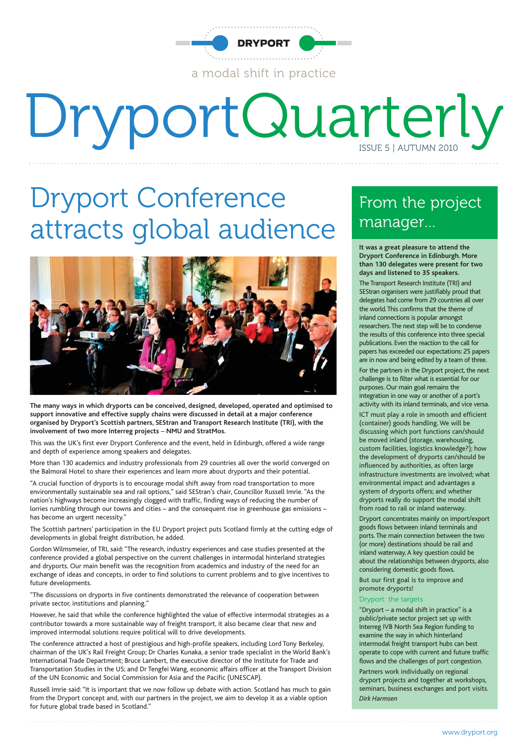

# DryportQuarterly

### Dryport Conference attracts global audience



**The many ways in which dryports can be conceived, designed, developed, operated and optimised to support innovative and effective supply chains were discussed in detail at a major conference organised by Dryport's Scottish partners, SEStran and Transport Research Institute (TRI), with the involvement of two more Interreg projects** – **NMU and StratMos.**

This was the UK's first ever Dryport Conference and the event, held in Edinburgh, offered a wide range and depth of experience among speakers and delegates.

More than 130 academics and industry professionals from 29 countries all over the world converged on the Balmoral Hotel to share their experiences and learn more about dryports and their potential.

"A crucial function of dryports is to encourage modal shift away from road transportation to more environmentally sustainable sea and rail options," said SEStran's chair, Councillor Russell Imrie. "As the nation's highways become increasingly clogged with traffic, finding ways of reducing the number of lorries rumbling through our towns and cities – and the consequent rise in greenhouse gas emissions – has become an urgent necessity."

The Scottish partners' participation in the EU Dryport project puts Scotland firmly at the cutting edge of developments in global freight distribution, he added.

Gordon Wilmsmeier, of TRI, said: "The research, industry experiences and case studies presented at the conference provided a global perspective on the current challenges in intermodal hinterland strategies and dryports. Our main benefit was the recognition from academics and industry of the need for an exchange of ideas and concepts, in order to find solutions to current problems and to give incentives to future developments.

"The discussions on dryports in five continents demonstrated the relevance of cooperation between private sector, institutions and planning."

However, he said that while the conference highlighted the value of effective intermodal strategies as a contributor towards a more sustainable way of freight transport, it also became clear that new and improved intermodal solutions require political will to drive developments.

The conference attracted a host of prestigious and high-profile speakers, including Lord Tony Berkeley, chairman of the UK's Rail Freight Group; Dr Charles Kunaka, a senior trade specialist in the World Bank's International Trade Department; Bruce Lambert, the executive director of the Institute for Trade and Transportation Studies in the US; and Dr Tengfei Wang, economic affairs officer at the Transport Division of the UN Economic and Social Commission for Asia and the Pacific (UNESCAP).

Russell Imrie said: "It is important that we now follow up debate with action. Scotland has much to gain from the Dryport concept and, with our partners in the project, we aim to develop it as a viable option for future global trade based in Scotland."

### From the project manager…

**It was a great pleasure to attend the Dryport Conference in Edinburgh. More than 130 delegates were present for two days and listened to 35 speakers.**

The Transport Research Institute (TRI) and SEStran organisers were justifiably proud that delegates had come from 29 countries all over the world.This confirms that the theme of inland connections is popular amongst researchers.The next step will be to condense the results of this conference into three special publications. Even the reaction to the call for papers has exceeded our expectations: 25 papers are in now and being edited by a team of three. For the partners in the Dryport project, the next challenge is to filter what is essential for our purposes. Our main goal remains the integration in one way or another of a port's activity with its inland terminals, and vice versa.

ICT must play a role in smooth and efficient (container) goods handling. We will be discussing which port functions can/should be moved inland (storage, warehousing, custom facilities, logistics knowledge?); how the development of dryports can/should be influenced by authorities, as often large infrastructure investments are involved; what environmental impact and advantages a system of dryports offers; and whether dryports really do support the modal shift from road to rail or inland waterway.

Dryport concentrates mainly on import/export goods flows between inland terminals and ports. The main connection between the two (or more) destinations should be rail and inland waterway. A key question could be about the relationships between dryports, also considering domestic goods flows. But our first goal is to improve and promote dryports!

#### Dryport: the targets

"Dryport – a modal shift in practice" is a public/private sector project set up with Interreg IVB North Sea Region funding to examine the way in which hinterland intermodal freight transport hubs can best operate to cope with current and future traffic flows and the challenges of port congestion. Partners work individually on regional dryport projects and together at workshops, seminars, business exchanges and port visits. *Dirk Harmsen*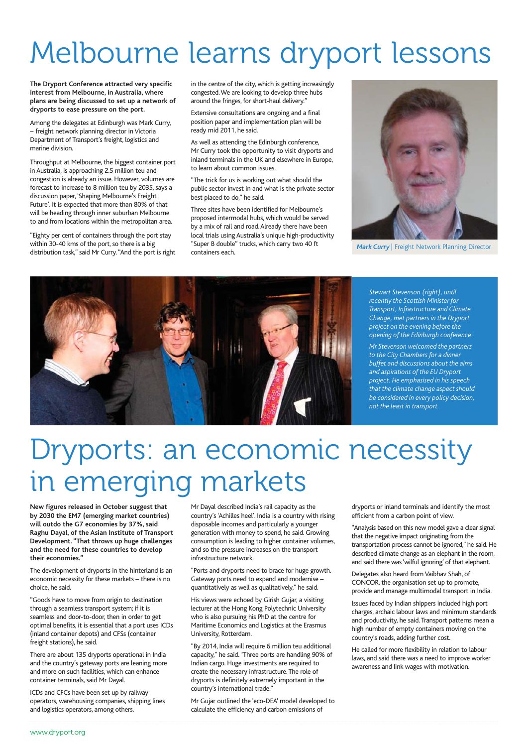## Melbourne learns dryport lessons

**The Dryport Conference attracted very specific interest from Melbourne, in Australia, where plans are being discussed to set up a network of dryports to ease pressure on the port.**

Among the delegates at Edinburgh was Mark Curry, – freight network planning director in Victoria Department of Transport's freight, logistics and marine division.

Throughput at Melbourne, the biggest container port in Australia, is approaching 2.5 million teu and congestion is already an issue. However, volumes are forecast to increase to 8 million teu by 2035, says a discussion paper, 'Shaping Melbourne's Freight Future'. It is expected that more than 80% of that will be heading through inner suburban Melbourne to and from locations within the metropolitan area.

"Eighty per cent of containers through the port stay within 30-40 kms of the port, so there is a big distribution task," said Mr Curry."And the port is right in the centre of the city, which is getting increasingly congested.We are looking to develop three hubs around the fringes, for short-haul delivery.'

Extensive consultations are ongoing and a final position paper and implementation plan will be ready mid 2011, he said.

As well as attending the Edinburgh conference, Mr Curry took the opportunity to visit dryports and inland terminals in the UK and elsewhere in Europe, to learn about common issues.

"The trick for us is working out what should the public sector invest in and what is the private sector best placed to do," he said.

Three sites have been identified for Melbourne's proposed intermodal hubs, which would be served by a mix of rail and road. Already there have been local trials using Australia's unique high-productivity "Super B double" trucks, which carry two 40 ft containers each.



*Mark Curry* | Freight Network Planning Director



*Stewart Stevenson (right), until recently the Scottish Minister for Transport, Infrastructure and Climate Change, met partners in the Dryport project on the evening before the opening of the Edinburgh conference. Mr Stevenson welcomed the partners to the City Chambers for a dinner buffet and discussions about the aims and aspirations of the EU Dryport project. He emphasised in his speech that the climate change aspect should be considered in every policy decision, not the least in transport.*

### Dryports: an economic necessity in emerging markets

**New figures released in October suggest that by 2030 the EM7 (emerging market countries) will outdo the G7 economies by 37%, said Raghu Dayal, of the Asian Institute of Transport Development. "That throws up huge challenges and the need for these countries to develop their economies."**

The development of dryports in the hinterland is an economic necessity for these markets – there is no choice, he said.

"Goods have to move from origin to destination through a seamless transport system; if it is seamless and door-to-door, then in order to get optimal benefits, it is essential that a port uses ICDs (inland container depots) and CFSs (container freight stations), he said.

There are about 135 dryports operational in India and the country's gateway ports are leaning more and more on such facilities, which can enhance container terminals, said Mr Dayal.

ICDs and CFCs have been set up by railway operators, warehousing companies, shipping lines and logistics operators, among others.

Mr Dayal described India's rail capacity as the country's 'Achilles heel'. India is a country with rising disposable incomes and particularly a younger generation with money to spend, he said. Growing consumption is leading to higher container volumes, and so the pressure increases on the transport infrastructure network.

"Ports and dryports need to brace for huge growth. Gateway ports need to expand and modernise – quantitatively as well as qualitatively," he said.

His views were echoed by Girish Gujar, a visiting lecturer at the Hong Kong Polytechnic University who is also pursuing his PhD at the centre for Maritime Economics and Logistics at the Erasmus University, Rotterdam.

"By 2014, India will require 6 million teu additional capacity," he said. "Three ports are handling 90% of Indian cargo. Huge investments are required to create the necessary infrastructure. The role of dryports is definitely extremely important in the country's international trade."

Mr Gujar outlined the 'eco-DEA' model developed to calculate the efficiency and carbon emissions of

dryports or inland terminals and identify the most efficient from a carbon point of view.

"Analysis based on this new model gave a clear signal that the negative impact originating from the transportation process cannot be ignored," he said. He described climate change as an elephant in the room, and said there was 'wilful ignoring' of that elephant.

Delegates also heard from Vaibhav Shah, of CONCOR, the organisation set up to promote, provide and manage multimodal transport in India.

Issues faced by Indian shippers included high port charges, archaic labour laws and minimum standards and productivity, he said. Transport patterns mean a high number of empty containers moving on the country's roads, adding further cost.

He called for more flexibility in relation to labour laws, and said there was a need to improve worker awareness and link wages with motivation.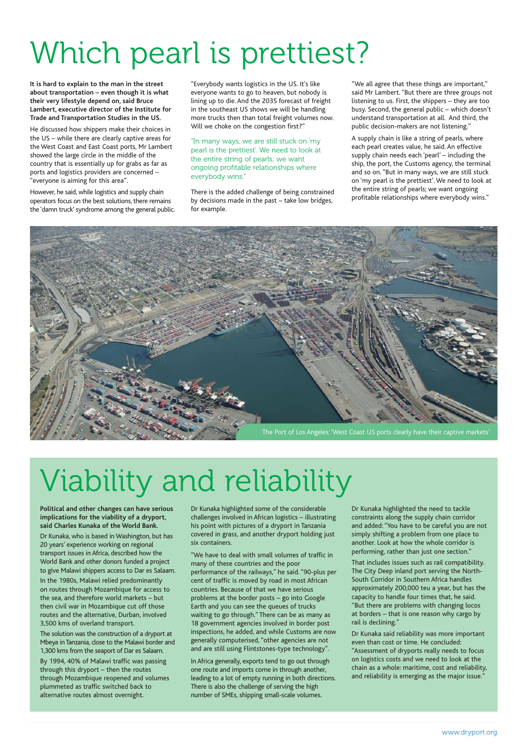# Which pearl is prettiest?

**It is hard to explain to the man in the street about transportation – even though it is what their very lifestyle depend on, said Bruce Lambert, executive director of the Institute for Trade and Transportation Studies in the US.**

He discussed how shippers make their choices in the US – while there are clearly captive areas for the West Coast and East Coast ports, Mr Lambert showed the large circle in the middle of the country that is essentially up for grabs as far as ports and logistics providers are concerned – "everyone is aiming for this area".

However, he said, while logistics and supply chain operators focus on the best solutions, there remains the 'damn truck' syndrome among the general public.

"Everybody wants logistics in the US. It's like everyone wants to go to heaven, but nobody is lining up to die. And the 2035 forecast of freight in the southeast US shows we will be handling more trucks then than total freight volumes now. Will we choke on the congestion first?"

"In many ways, we are still stuck on 'my pearl is the prettiest'. We need to look at the entire string of pearls; we want ongoing profitable relationships where everybody wins."

There is the added challenge of being constrained by decisions made in the past – take low bridges, for example.

"We all agree that these things are important," said Mr Lambert. "But there are three groups not listening to us. First, the shippers – they are too busy. Second, the general public – which doesn't understand transportation at all. And third, the public decision-makers are not listening.'

A supply chain is like a string of pearls, where each pearl creates value, he said. An effective supply chain needs each 'pearl' – including the ship, the port, the Customs agency, the terminal and so on. "But in many ways, we are still stuck on 'my pearl is the prettiest'. We need to look at the entire string of pearls; we want ongoing profitable relationships where everybody wins."



# Viability and reliability

**Political and other changes can have serious implications for the viability of a dryport, said Charles Kunaka of the World Bank.**

Dr Kunaka, who is based in Washington, but has 20 years' experience working on regional transport issues in Africa, described how the World Bank and other donors funded a project to give Malawi shippers access to Dar es Salaam.

In the 1980s, Malawi relied predominantly on routes through Mozambique for access to the sea, and therefore world markets – but then civil war in Mozambique cut off those routes and the alternative, Durban, involved 3,500 kms of overland transport.

The solution was the construction of a dryport at Mbeya in Tanzania, close to the Malawi border and 1,300 kms from the seaport of Dar es Salaam.

By 1994, 40% of Malawi traffic was passing through this dryport – then the routes through Mozambique reopened and volumes plummeted as traffic switched back to alternative routes almost overnight.

Dr Kunaka highlighted some of the considerable challenges involved in African logistics – illustrating his point with pictures of a dryport in Tanzania covered in grass, and another dryport holding just six containers.

"We have to deal with small volumes of traffic in many of these countries and the poor performance of the railways," he said. "90-plus per cent of traffic is moved by road in most African countries. Because of that we have serious problems at the border posts – go into Google Earth and you can see the queues of trucks waiting to go through." There can be as many as 18 government agencies involved in border post inspections, he added, and while Customs are now generally computerised, "other agencies are not and are still using Flintstones-type technology".

In Africa generally, exports tend to go out through one route and imports come in through another, leading to a lot of empty running in both directions. There is also the challenge of serving the high number of SMEs, shipping small-scale volumes.

Dr Kunaka highlighted the need to tackle constraints along the supply chain corridor and added: "You have to be careful you are not simply shifting a problem from one place to another. Look at how the whole corridor is performing, rather than just one section."

That includes issues such as rail compatibility. The City Deep inland port serving the North-South Corridor in Southern Africa handles approximately 200,000 teu a year, but has the capacity to handle four times that, he said. "But there are problems with changing locos at borders – that is one reason why cargo by rail is declining."

Dr Kunaka said reliability was more important even than cost or time. He concluded: "Assessment of dryports really needs to focus on logistics costs and we need to look at the chain as a whole: maritime, cost and reliability, and reliability is emerging as the major issue.